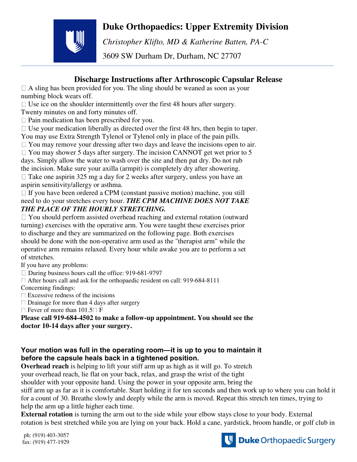## **Duke Orthopaedics: Upper Extremity Division**



*Christopher Klifto, MD & Katherine Batten, PA-C* 

3609 SW Durham Dr, Durham, NC 27707

## **Discharge Instructions after Arthroscopic Capsular Release**

 $\Box$  A sling has been provided for you. The sling should be weaned as soon as your numbing block wears off.

 $\Box$  Use ice on the shoulder intermittently over the first 48 hours after surgery.

Twenty minutes on and forty minutes off.

 $\Box$  Pain medication has been prescribed for you.

 $\Box$  Use your medication liberally as directed over the first 48 hrs, then begin to taper. You may use Extra Strength Tylenol or Tylenol only in place of the pain pills.

 $\Box$  You may remove your dressing after two days and leave the incisions open to air.

 $\Box$  You may shower 5 days after surgery. The incision CANNOT get wet prior to 5

days. Simply allow the water to wash over the site and then pat dry. Do not rub the incision. Make sure your axilla (armpit) is completely dry after showering.

 $\Box$  Take one aspirin 325 mg a day for 2 weeks after surgery, unless you have an aspirin sensitivity/allergy or asthma.

 $\Box$  If you have been ordered a CPM (constant passive motion) machine, you still need to do your stretches every hour. *THE CPM MACHINE DOES NOT TAKE THE PLACE OF THE HOURLY STRETCHING.* 

 $\Box$  You should perform assisted overhead reaching and external rotation (outward turning) exercises with the operative arm. You were taught these exercises prior to discharge and they are summarized on the following page. Both exercises should be done with the non-operative arm used as the "therapist arm" while the operative arm remains relaxed. Every hour while awake you are to perform a set of stretches.

If you have any problems:

 $\Box$  During business hours call the office: 919-681-9797

After hours call and ask for the orthopaedic resident on call: 919-684-8111

Concerning findings:

 $\Box$  Excessive redness of the incisions

 $\Box$  Drainage for more than 4 days after surgery

 $\Box$  Fever of more than 101.5  $\Box$  F

**Please call 919-684-4502 to make a follow-up appointment. You should see the doctor 10-14 days after your surgery.** 

## **Your motion was full in the operating room—it is up to you to maintain it before the capsule heals back in a tightened position.**

**Overhead reach** is helping to lift your stiff arm up as high as it will go. To stretch your overhead reach, lie flat on your back, relax, and grasp the wrist of the tight

shoulder with your opposite hand. Using the power in your opposite arm, bring the

stiff arm up as far as it is comfortable. Start holding it for ten seconds and then work up to where you can hold it for a count of 30. Breathe slowly and deeply while the arm is moved. Repeat this stretch ten times, trying to help the arm up a little higher each time.

**External rotation** is turning the arm out to the side while your elbow stays close to your body. External rotation is best stretched while you are lying on your back. Hold a cane, yardstick, broom handle, or golf club in

ph: (919) 403-3057 fax: (919) 477-1929